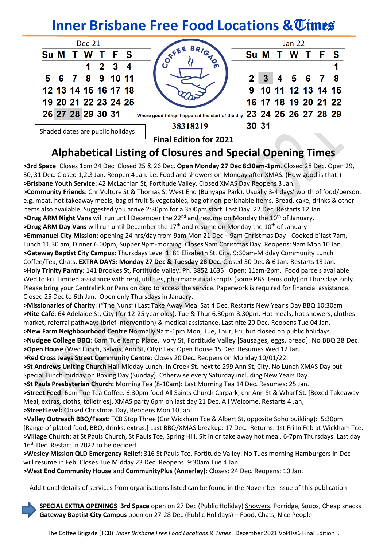# **Inner Brisbane Free Food Locations & Times**

| Dec-21                           |                                                                             | Jan-22 |  |  |                      |  |  |  |
|----------------------------------|-----------------------------------------------------------------------------|--------|--|--|----------------------|--|--|--|
| Su M T W T F S                   | $-\left(\begin{matrix}e^{\zeta E E} & BR/G\cr O & H\end{matrix}\right)_{1}$ |        |  |  | Su M T W T F S       |  |  |  |
| $1 \quad 2 \quad 3 \quad 4$      |                                                                             |        |  |  |                      |  |  |  |
| 5 6 7 8 9 10 11                  |                                                                             |        |  |  | 2 3 4 5 6 7 8        |  |  |  |
| 12 13 14 15 16 17 18             |                                                                             |        |  |  | 9 10 11 12 13 14 15  |  |  |  |
| 19 20 21 22 23 24 25             |                                                                             |        |  |  | 16 17 18 19 20 21 22 |  |  |  |
| 26 27 28 29 30 31                | Where good things happen at the start of the day 23 24 25 26 27 28 29       |        |  |  |                      |  |  |  |
|                                  | 38318219                                                                    | 30 31  |  |  |                      |  |  |  |
| Shaded dates are public holidays | <b>Final Edition for 2021</b>                                               |        |  |  |                      |  |  |  |

# **Alphabetical Listing of Closures and Special Opening Times**

**>3rd Space**: Closes 1pm 24 Dec. Closed 25 & 26 Dec. **Open Monday 27 Dec 8:30am-1pm**. Closed 28 Dec. Open 29, 30, 31 Dec. Closed 1,2,3 Jan. Reopen 4 Jan. i.e. Food and showers on Monday after XMAS. (How good is that!) **>Brisbane Youth Service**: 42 McLachlan St, Fortitude Valley. Closed XMAS Day Reopens 3 Jan. **>Community Friends**: Cnr Vulture St & Thomas St West End (Bunyapa Park). Usually 3-4 days' worth of food/person. e.g. meat, hot takeaway meals, bag of fruit & vegetables, bag of non-perishable items. Bread, cake, drinks & other items also available. Suggested you arrive 2:30pm for a 3:00pm start. Last Day: 22 Dec. Restarts 12 Jan. >Drug ARM Night Vans will run until December the 22<sup>nd</sup> and resume on Monday the 10<sup>th</sup> of January. **>Drug ARM Day Vans** will run until December the 17<sup>th</sup> and resume on Monday the 10<sup>th</sup> of January **>Emmanuel City Mission**: opening 24 hrs/day from 9am Mon 21 Dec – 9am Christmas Day! Cooked b'fast 7am, Lunch 11.30 am, Dinner 6.00pm, Supper 9pm-morning. Closes 9am Christmas Day. Reopens: 9am Mon 10 Jan. **>Gateway Baptist City Campus:** Thursdays Level 1, 81 Elizabeth St. City. 9:30am-Midday Community Lunch Coffee/Tea, Chats. **EXTRA DAYS: Monday 27 Dec & Tuesday 28 Dec**. Closed 30 Dec & 6 Jan. Restarts 13 Jan. **>Holy Trinity Pantry**: 141 Brookes St, Fortitude Valley. Ph. 3852 1635 Open: 11am-2pm. Food parcels available Wed to Fri. Limited assistance with rent, utilities, pharmaceutical scripts (some PBS items only) on Thursdays only. Please bring your Centrelink or Pension card to access the service. Paperwork is required for financial assistance. Closed 25 Dec to 6th Jan. Open only Thursdays in January. **>Missionaries of Charity**: ("The Nuns") Last Take Away Meal Sat 4 Dec. Restarts New Year's Day BBQ 10:30am

**>Nite Café**: 64 Adelaide St, City (for 12-25 year olds). Tue & Thur 6.30pm-8.30pm. Hot meals, hot showers, clothes market, referral pathways (brief intervention) & medical assistance. Last nite 20 Dec. Reopens Tue 04 Jan. **>New Farm Neighbourhood Centre** Normally 9am-1pm Mon, Tue, Thur, Fri. but closed on public holidays.

**>Nudgee College BBQ**: 6am Tue Kemp Place, Ivory St, Fortitude Valley [Sausages, eggs, bread]. No BBQ 28 Dec. **>Open House** (Wed Lunch, Salvos, Ann St, City): Last Open House 15 Dec. Resumes Wed 12 Jan.

**>Red Cross Jeays Street Community Centre**: Closes 20 Dec. Reopens on Monday 10/01/22.

**>St Andrews Uniting Church Hall** Midday Lunch. In Creek St, next to 299 Ann St, City. No Lunch XMAS Day but Special Lunch midday on Boxing Day (Sunday). Otherwise every Saturday including New Years Day.

**>St Pauls Presbyterian Church:** Morning Tea (8-10am): Last Morning Tea 14 Dec. Resumes: 25 Jan. **>Street Feed**: 6pm Tue Tea Coffee. 6:30pm food All Saints Church Carpark, cnr Ann St & Wharf St. [Boxed Takeaway Meal, extras, cloths, toiletries]. XMAS party 6pm on last day 21 Dec. All Welcome. Restarts 4 Jan, **>StreetLevel:** Closed Christmas Day, Reopens Mon 10 Jan.

**>Valley Outreach BBQ/Feast**: TCB Stop Three (Cnr Wickham Tce & Albert St, opposite Soho building): 5:30pm [Range of plated food, BBQ, drinks, extras.] Last BBQ/XMAS breakup: 17 Dec. Returns: 1st Fri In Feb at Wickham Tce. **>Village Church**: at St Pauls Church, St Pauls Tce, Spring Hill. Sit in or take away hot meal. 6-7pm Thursdays. Last day 16<sup>th</sup> Dec. Restart in 2022 to be decided.

**>Wesley Mission QLD Emergency Relief**: 316 St Pauls Tce, Fortitude Valley: No Tues morning Hamburgers in Decwill resume in Feb. Closes Tue Midday 23 Dec. Reopens: 9:30am Tue 4 Jan.

**>West End Community House** and **CommunityPlus (Annerley)**: Closes: 24 Dec. Reopens: 10 Jan.

Additional details of services from organisations listed can be found in the November Issue of this publication

 **SPECIAL EXTRA OPENINGS 3rd Space** open on 27 Dec (Public Holiday) Showers. Porridge, Soups, Cheap snacks  **Gateway Baptist City Campus** open on 27-28 Dec (Public Holidays) – Food, Chats, Nice People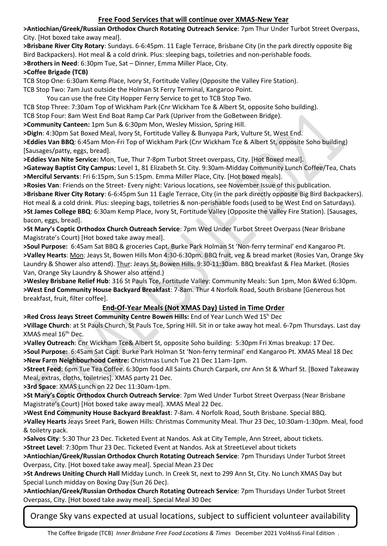# **Free Food Services that will continue over XMAS-New Year**

**>Antiochian/Greek/Russian Orthodox Church Rotating Outreach Service**: 7pm Thur Under Turbot Street Overpass, City. [Hot boxed take away meal].

**>Brisbane River City Rotary**: Sundays. 6-6:45pm. 11 Eagle Terrace, Brisbane City (in the park directly opposite Big Bird Backpackers). Hot meal & a cold drink. Plus: sleeping bags, toiletries and non-perishable foods. **>Brothers in Need**: 6:30pm Tue, Sat – Dinner, Emma Miller Place, City.

#### **>Coffee Brigade (TCB)**

TCB Stop One: 6:30am Kemp Place, Ivory St, Fortitude Valley (Opposite the Valley Fire Station).

TCB Stop Two: 7am Just outside the Holman St Ferry Terminal, Kangaroo Point.

You can use the free City Hopper Ferry Service to get to TCB Stop Two.

TCB Stop Three: 7:30am Top of Wickham Park (Cnr Wickham Tce & Albert St, opposite Soho building).

TCB Stop Four: 8am West End Boat Ramp Car Park (Upriver from the GoBetween Bridge).

**>Community Canteen:** 1pm Sun & 6:30pm Mon, Wesley Mission, Spring Hill.

**>DigIn**: 4:30pm Sat Boxed Meal, Ivory St, Fortitude Valley & Bunyapa Park, Vulture St, West End.

**>Eddies Van BBQ**: 6:45am Mon-Fri Top of Wickham Park (Cnr Wickham Tce & Albert St, opposite Soho building) [Sausages/patty, eggs, bread].

**>Eddies Van Nite Service:** Mon, Tue, Thur 7-8pm Turbot Street overpass, City. [Hot Boxed meal].

**>Gateway Baptist City Campus:** Level 1, 81 Elizabeth St. City. 9:30am-Midday Community Lunch Coffee/Tea, Chats **>Merciful Servants**: Fri 6:15pm, Sun 5:15pm. Emma Miller Place, City. [Hot boxed meals].

**>Rosies Van**: Friends on the Street- Every night: Various locations, see November Issue of this publication.

**>Brisbane River City Rotary**: 6-6:45pm Sun 11 Eagle Terrace, City (in the park directly opposite Big Bird Backpackers). Hot meal & a cold drink. Plus: sleeping bags, toiletries & non-perishable foods (used to be West End on Saturdays). **>St James College BBQ**: 6:30am Kemp Place, Ivory St, Fortitude Valley (Opposite the Valley Fire Station). [Sausages, bacon, eggs, bread].

**>St Mary's Coptic Orthodox Church Outreach Service**: 7pm Wed Under Turbot Street Overpass (Near Brisbane Magistrate's Court) [Hot boxed take away meal].

**>Soul Purpose:** 6:45am Sat BBQ & groceries Capt. Burke Park Holman St 'Non-ferry terminal' end Kangaroo Pt. **>Valley Hearts**: Mon: Jeays St, Bowen Hills Mon 4:30-6:30pm. BBQ fruit, veg & bread market (Rosies Van, Orange Sky Laundry & Shower also attend). Thur: Jeays St, Bowen Hills. 9:30-11:30am. BBQ breakfast & Flea Market. (Rosies Van, Orange Sky Laundry & Shower also attend.)

**>Wesley Brisbane Relief Hub**: 316 St Pauls Tce, Fortitude Valley: Community Meals: Sun 1pm, Mon &Wed 6:30pm. **>West End Community House Backyard Breakfast**: 7-8am. Thur 4 Norfolk Road, South Brisbane [Generous hot breakfast, fruit, filter coffee].

# **End-Of-Year Meals (Not XMAS Day) Listed in Time Order**

**>Red Cross Jeays Street Community Centre Bowen Hills:** End of Year Lunch Wed 15<sup>h</sup> Dec

**>Village Church**: at St Pauls Church, St Pauls Tce, Spring Hill. Sit in or take away hot meal. 6-7pm Thursdays. Last day XMAS meal 16th Dec.

**>Valley Outreach**: Cnr Wickham Tce& Albert St, opposite Soho building: 5:30pm Fri Xmas breakup: 17 Dec. **>Soul Purpose:** 6:45am Sat Capt. Burke Park Holman St 'Non-ferry terminal' end Kangaroo Pt. XMAS Meal 18 Dec **>New Farm Neighbourhood Centre:** Christmas Lunch Tue 21 Dec 11am-1pm.

**>Street Feed**: 6pm Tue Tea Coffee. 6:30pm food All Saints Church Carpark, cnr Ann St & Wharf St. [Boxed Takeaway Meal, extras, cloths, toiletries]. XMAS party 21 Dec.

**>3rd Space**: XMAS Lunch on 22 Dec 11:30am-1pm.

**>St Mary's Coptic Orthodox Church Outreach Service**: 7pm Wed Under Turbot Street Overpass (Near Brisbane Magistrate's Court) [Hot boxed take away meal]. XMAS Meal 22 Dec.

**>West End Community House Backyard Breakfast**: 7-8am. 4 Norfolk Road, South Brisbane. Special BBQ.

**>Valley Hearts** Jeays Sreet Park, Bowen Hills: Christmas Community Meal. Thur 23 Dec, 10:30am-1:30pm. Meal, food & toiletry pack.

**>Salvos City**: 5:30 Thur 23 Dec. Ticketed Event at Nandos. Ask at City Temple, Ann Street, about tickets.

**>Street Level**: 7:30pm Thur 23 Dec. Ticketed Event at Nandos. Ask at StreetLevel about tickets

**>Antiochian/Greek/Russian Orthodox Church Rotating Outreach Service**: 7pm Thursdays Under Turbot Street Overpass, City. [Hot boxed take away meal]. Special Mean 23 Dec

**>St Andrews Uniting Church Hall** Midday Lunch. In Creek St, next to 299 Ann St, City. No Lunch XMAS Day but Special Lunch midday on Boxing Day (Sun 26 Dec).

**>Antiochian/Greek/Russian Orthodox Church Rotating Outreach Service**: 7pm Thursdays Under Turbot Street Overpass, City. [Hot boxed take away meal]. Special Meal 30 Dec

Orange Sky vans expected at usual locations, subject to sufficient volunteer availability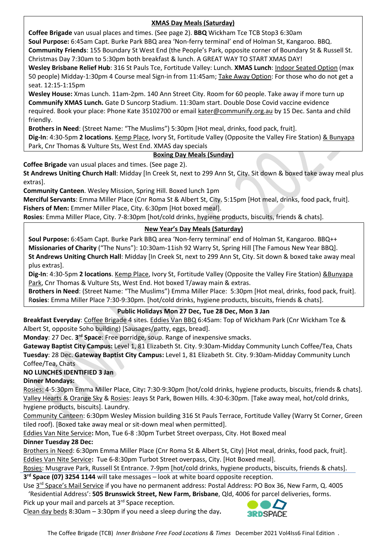# **XMAS Day Meals (Saturday)**

**Coffee Brigade** van usual places and times. (See page 2). **BBQ** Wickham Tce TCB Stop3 6:30am

**Soul Purpose:** 6:45am Capt. Burke Park BBQ area 'Non-ferry terminal' end of Holman St, Kangaroo. BBQ.

**Community Friends**: 155 Boundary St West End (the People's Park, opposite corner of Boundary St & Russell St. Christmas Day 7:30am to 5:30pm both breakfast & lunch. A GREAT WAY TO START XMAS DAY!

**Wesley Brisbane Relief Hub**: 316 St Pauls Tce, Fortitude Valley: Lunch. **XMAS Lunch**: Indoor Seated Option (max 50 people) Midday-1:30pm 4 Course meal Sign-in from 11:45am; Take Away Option: For those who do not get a seat. 12:15-1:15pm

**Wesley House:** Xmas Lunch. 11am-2pm. 140 Ann Street City. Room for 60 people. Take away if more turn up **Communify XMAS Lunch.** Gate D Suncorp Stadium. 11:30am start. Double Dose Covid vaccine evidence required. Book your place: Phone Kate 35102700 or emai[l kater@communify.org.au](mailto:kater@communify.org.au) by 15 Dec. Santa and child friendly.

**Brothers in Need**: (Street Name: "The Muslims") 5:30pm [Hot meal, drinks, food pack, fruit].

**Dig-In**: 4:30-5pm **2 locations**. Kemp Place, Ivory St, Fortitude Valley (Opposite the Valley Fire Station) & Bunyapa Park, Cnr Thomas & Vulture Sts, West End. XMAS day specials

# **Boxing Day Meals (Sunday)**

**Coffee Brigade** van usual places and times. (See page 2).

**St Andrews Uniting Church Hall**: Midday [In Creek St, next to 299 Ann St, City. Sit down & boxed take away meal plus extras].

**Community Canteen**. Wesley Mission, Spring Hill. Boxed lunch 1pm

**Merciful Servants**: Emma Miller Place (Cnr Roma St & Albert St, City. 5:15pm [Hot meal, drinks, food pack, fruit]. Fishers of Men: Emmer Miller Place, City. 6:30pm [Hot boxed meal].

**Rosies**: Emma Miller Place, City. 7-8:30pm [hot/cold drinks, hygiene products, biscuits, friends & chats].

# **New Year's Day Meals (Saturday)**

**Soul Purpose:** 6:45am Capt. Burke Park BBQ area 'Non-ferry terminal' end of Holman St, Kangaroo. BBQ++ **Missionaries of Charity** ("The Nuns"): 10:30am-11ish 92 Warry St, Spring Hill [The Famous New Year BBQ]. **St Andrews Uniting Church Hall**: Midday [In Creek St, next to 299 Ann St, City. Sit down & boxed take away meal plus extras].

**Dig-In**: 4:30-5pm **2 locations**. Kemp Place, Ivory St, Fortitude Valley (Opposite the Valley Fire Station) &Bunyapa Park, Cnr Thomas & Vulture Sts, West End. Hot boxed T/away main & extras.

**Brothers in Need**: (Street Name: "The Muslims") Emma Miller Place: 5:30pm [Hot meal, drinks, food pack, fruit]. R**osies**: Emma Miller Place 7:30-9:30pm. [hot/cold drinks, hygiene products, biscuits, friends & chats].

# **Public Holidays Mon 27 Dec, Tue 28 Dec, Mon 3 Jan**

**Breakfast Everyday**: Coffee Brigade 4 sites. Eddies Van BBQ 6:45am: Top of Wickham Park (Cnr Wickham Tce & Albert St, opposite Soho building) [Sausages/patty, eggs, bread].

Monday: 27 Dec. 3<sup>rd</sup> Space: Free porridge, soup. Range of inexpensive smacks.

**Gateway Baptist City Campus:** Level 1, 81 Elizabeth St. City. 9:30am-Midday Community Lunch Coffee/Tea, Chats **Tuesday**: 28 Dec. **Gateway Baptist City Campus:** Level 1, 81 Elizabeth St. City. 9:30am-Midday Community Lunch Coffee/Tea, Chats

# **NO LUNCHES IDENTIFIED 3 Jan**

# **Dinner Mondays:**

Rosies: 4-5:30pm Emma Miller Place, City**:** 7:30-9:30pm [hot/cold drinks, hygiene products, biscuits, friends & chats]. Valley Hearts & Orange Sky & Rosies: Jeays St Park, Bowen Hills. 4:30-6:30pm. [Take away meal, hot/cold drinks, hygiene products, biscuits]. Laundry.

Community Canteen: 6:30pm Wesley Mission building 316 St Pauls Terrace, Fortitude Valley (Warry St Corner, Green tiled roof). [Boxed take away meal or sit-down meal when permitted].

Eddies Van Nite Service**:** Mon, Tue 6-8 :30pm Turbet Street overpass, City. Hot Boxed meal

# **Dinner Tuesday 28 Dec:**

Brothers in Need: 6:30pm Emma Miller Place (Cnr Roma St & Albert St, City) [Hot meal, drinks, food pack, fruit]. Eddies Van Nite Service**:** Tue 6-8:30pm Turbot Street overpass, City. [Hot Boxed meal].

Rosies: Musgrave Park, Russell St Entrance. 7-9pm [hot/cold drinks, hygiene products, biscuits, friends & chats]. **3 rd Space (07) 3254 1144** will take messages – look at white board opposite reception.

Use 3<sup>rd</sup> Space's Mail Service if you have no permanent address: Postal Address: PO Box 36, New Farm, Q. 4005 'Residential Address': **505 Brunswick Street, New Farm, Brisbane**, Qld, 4006 for parcel deliveries, forms.

Pick up your mail and parcels at 3<sup>rd</sup> Space reception.

Clean day beds 8:30am – 3:30pm if you need a sleep during the day**.**